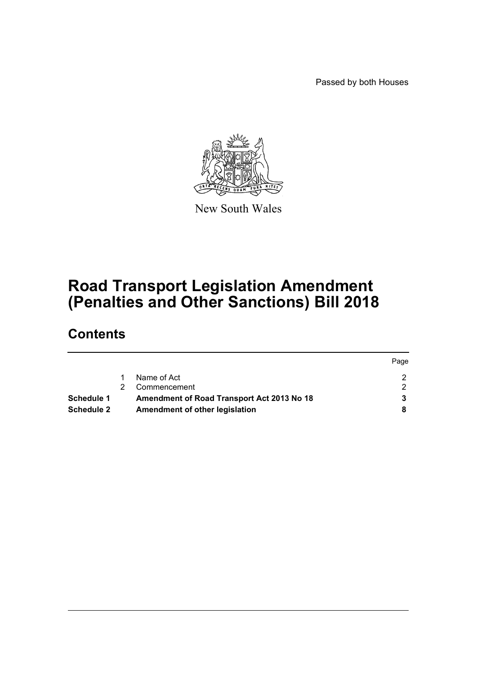Passed by both Houses

 $P = 2$ 



New South Wales

# **Road Transport Legislation Amendment (Penalties and Other Sanctions) Bill 2018**

# **Contents**

|                   |                                            | <b>rage</b> |
|-------------------|--------------------------------------------|-------------|
|                   | Name of Act                                |             |
|                   | Commencement                               |             |
| Schedule 1        | Amendment of Road Transport Act 2013 No 18 |             |
| <b>Schedule 2</b> | Amendment of other legislation             |             |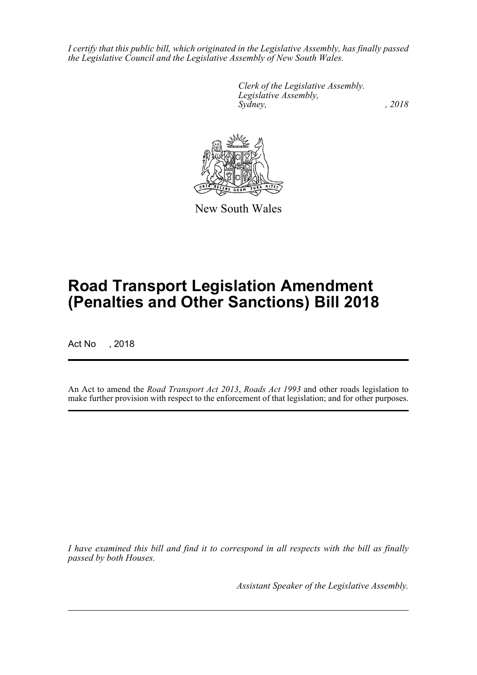*I certify that this public bill, which originated in the Legislative Assembly, has finally passed the Legislative Council and the Legislative Assembly of New South Wales.*

> *Clerk of the Legislative Assembly. Legislative Assembly, Sydney, , 2018*



New South Wales

# **Road Transport Legislation Amendment (Penalties and Other Sanctions) Bill 2018**

Act No , 2018

An Act to amend the *Road Transport Act 2013*, *Roads Act 1993* and other roads legislation to make further provision with respect to the enforcement of that legislation; and for other purposes.

*I have examined this bill and find it to correspond in all respects with the bill as finally passed by both Houses.*

*Assistant Speaker of the Legislative Assembly.*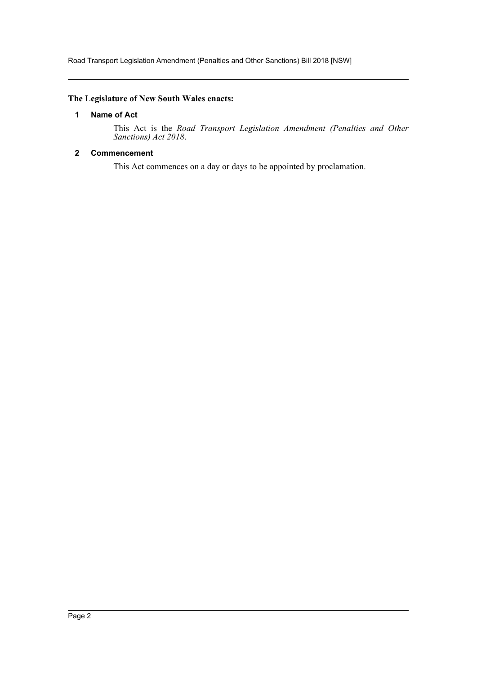Road Transport Legislation Amendment (Penalties and Other Sanctions) Bill 2018 [NSW]

# <span id="page-2-0"></span>**The Legislature of New South Wales enacts:**

### **1 Name of Act**

This Act is the *Road Transport Legislation Amendment (Penalties and Other Sanctions) Act 2018*.

# <span id="page-2-1"></span>**2 Commencement**

This Act commences on a day or days to be appointed by proclamation.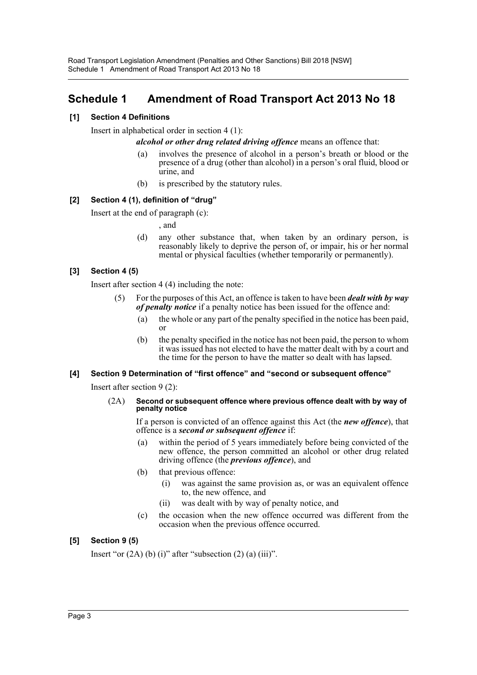# <span id="page-3-0"></span>**Schedule 1 Amendment of Road Transport Act 2013 No 18**

# **[1] Section 4 Definitions**

Insert in alphabetical order in section 4 (1):

*alcohol or other drug related driving offence* means an offence that:

- (a) involves the presence of alcohol in a person's breath or blood or the presence of a drug (other than alcohol) in a person's oral fluid, blood or urine, and
- (b) is prescribed by the statutory rules.

# **[2] Section 4 (1), definition of "drug"**

Insert at the end of paragraph (c):

- , and
- (d) any other substance that, when taken by an ordinary person, is reasonably likely to deprive the person of, or impair, his or her normal mental or physical faculties (whether temporarily or permanently).

# **[3] Section 4 (5)**

Insert after section 4 (4) including the note:

- For the purposes of this Act, an offence is taken to have been *dealt with by way of penalty notice* if a penalty notice has been issued for the offence and:
	- (a) the whole or any part of the penalty specified in the notice has been paid, or
	- (b) the penalty specified in the notice has not been paid, the person to whom it was issued has not elected to have the matter dealt with by a court and the time for the person to have the matter so dealt with has lapsed.

### **[4] Section 9 Determination of "first offence" and "second or subsequent offence"**

Insert after section 9 (2):

#### (2A) **Second or subsequent offence where previous offence dealt with by way of penalty notice**

If a person is convicted of an offence against this Act (the *new offence*), that offence is a *second or subsequent offence* if:

- (a) within the period of 5 years immediately before being convicted of the new offence, the person committed an alcohol or other drug related driving offence (the *previous offence*), and
- (b) that previous offence:
	- (i) was against the same provision as, or was an equivalent offence to, the new offence, and
	- (ii) was dealt with by way of penalty notice, and
- (c) the occasion when the new offence occurred was different from the occasion when the previous offence occurred.

# **[5] Section 9 (5)**

Insert "or  $(2A)$  (b) (i)" after "subsection  $(2)$  (a) (iii)".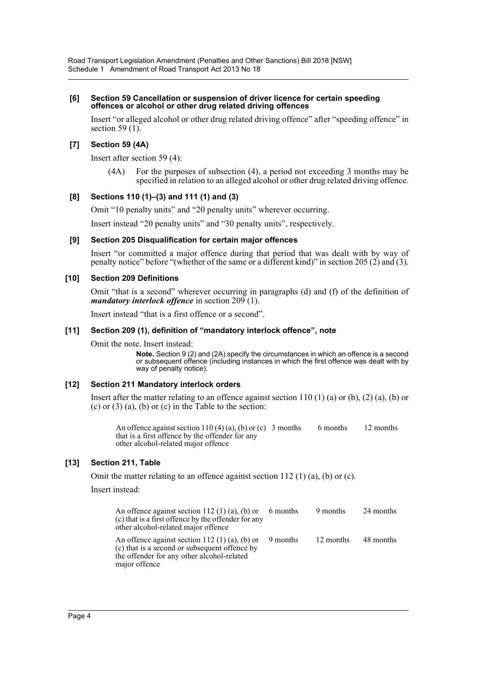#### **[6] Section 59 Cancellation or suspension of driver licence for certain speeding offences or alcohol or other drug related driving offences**

Insert "or alleged alcohol or other drug related driving offence" after "speeding offence" in section 59 $(1)$ .

# **[7] Section 59 (4A)**

Insert after section 59 (4):

(4A) For the purposes of subsection (4), a period not exceeding 3 months may be specified in relation to an alleged alcohol or other drug related driving offence.

### **[8] Sections 110 (1)–(3) and 111 (1) and (3)**

Omit "10 penalty units" and "20 penalty units" wherever occurring.

Insert instead "20 penalty units" and "30 penalty units", respectively.

#### **[9] Section 205 Disqualification for certain major offences**

Insert "or committed a major offence during that period that was dealt with by way of penalty notice" before "(whether of the same or a different kind)" in section 205 (2) and (3).

#### **[10] Section 209 Definitions**

Omit "that is a second" wherever occurring in paragraphs (d) and (f) of the definition of *mandatory interlock offence* in section 209 (1).

Insert instead "that is a first offence or a second".

#### **[11] Section 209 (1), definition of "mandatory interlock offence", note**

Omit the note. Insert instead:

**Note.** Section 9 (2) and (2A) specify the circumstances in which an offence is a second or subsequent offence (including instances in which the first offence was dealt with by way of penalty notice).

### **[12] Section 211 Mandatory interlock orders**

Insert after the matter relating to an offence against section  $110(1)$  (a) or (b), (2) (a), (b) or (c) or  $(3)$  (a), (b) or  $(c)$  in the Table to the section:

An offence against section 110 (4) (a), (b) or (c) 3 months 6 months 12 months that is a first offence by the offender for any other alcohol-related major offence

### **[13] Section 211, Table**

Omit the matter relating to an offence against section 112 (1) (a), (b) or (c).

Insert instead:

| An offence against section 112 (1) (a), (b) or 6 months<br>(c) that is a first offence by the offender for any<br>other alcohol-related major offence                   | 9 months 24 months  |  |
|-------------------------------------------------------------------------------------------------------------------------------------------------------------------------|---------------------|--|
| An offence against section 112 (1) (a), (b) or 9 months<br>(c) that is a second or subsequent offence by<br>the offender for any other alcohol-related<br>major offence | 12 months 48 months |  |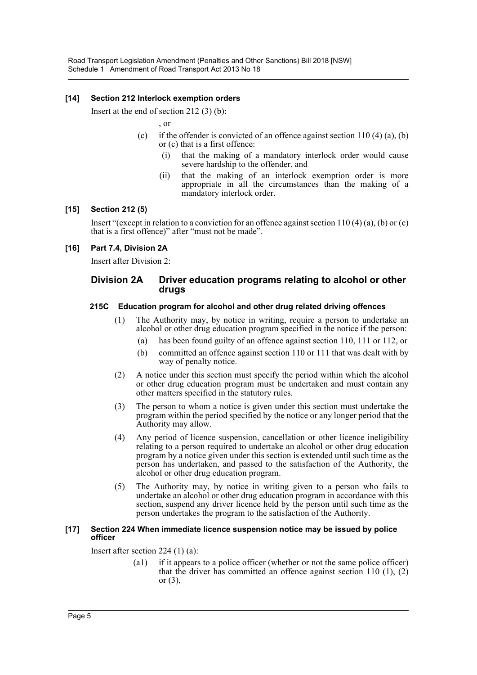# **[14] Section 212 Interlock exemption orders**

Insert at the end of section 212 (3) (b):

, or

- (c) if the offender is convicted of an offence against section  $110(4)$  (a), (b) or (c) that is a first offence:
	- (i) that the making of a mandatory interlock order would cause severe hardship to the offender, and
	- (ii) that the making of an interlock exemption order is more appropriate in all the circumstances than the making of a mandatory interlock order.

### **[15] Section 212 (5)**

Insert "(except in relation to a conviction for an offence against section 110 (4) (a), (b) or (c) that is a first offence)" after "must not be made".

### **[16] Part 7.4, Division 2A**

Insert after Division 2:

### **Division 2A Driver education programs relating to alcohol or other drugs**

#### **215C Education program for alcohol and other drug related driving offences**

- (1) The Authority may, by notice in writing, require a person to undertake an alcohol or other drug education program specified in the notice if the person:
	- (a) has been found guilty of an offence against section 110, 111 or 112, or
	- (b) committed an offence against section 110 or 111 that was dealt with by way of penalty notice.
- (2) A notice under this section must specify the period within which the alcohol or other drug education program must be undertaken and must contain any other matters specified in the statutory rules.
- (3) The person to whom a notice is given under this section must undertake the program within the period specified by the notice or any longer period that the Authority may allow.
- (4) Any period of licence suspension, cancellation or other licence ineligibility relating to a person required to undertake an alcohol or other drug education program by a notice given under this section is extended until such time as the person has undertaken, and passed to the satisfaction of the Authority, the alcohol or other drug education program.
- (5) The Authority may, by notice in writing given to a person who fails to undertake an alcohol or other drug education program in accordance with this section, suspend any driver licence held by the person until such time as the person undertakes the program to the satisfaction of the Authority.

#### **[17] Section 224 When immediate licence suspension notice may be issued by police officer**

Insert after section 224 (1) (a):

(a1) if it appears to a police officer (whether or not the same police officer) that the driver has committed an offence against section  $110(1)$ ,  $(2)$ or (3),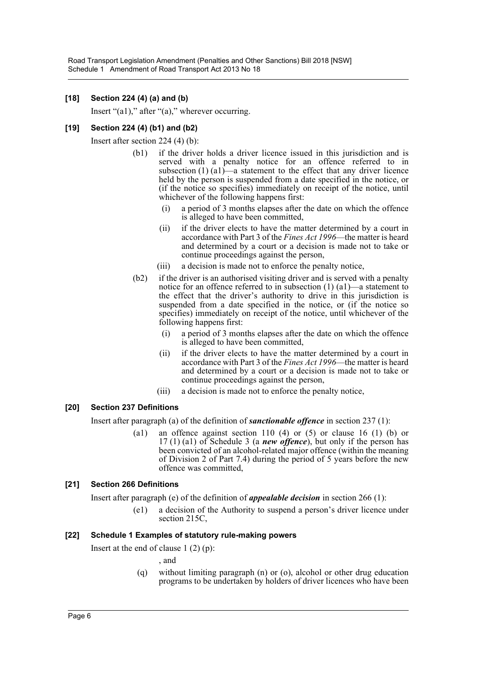# **[18] Section 224 (4) (a) and (b)**

Insert " $(a1)$ ," after " $(a)$ ," wherever occurring.

# **[19] Section 224 (4) (b1) and (b2)**

Insert after section 224 (4) (b):

- (b1) if the driver holds a driver licence issued in this jurisdiction and is served with a penalty notice for an offence referred to in subsection  $(1)$   $(a1)$ —a statement to the effect that any driver licence held by the person is suspended from a date specified in the notice, or (if the notice so specifies) immediately on receipt of the notice, until whichever of the following happens first:
	- (i) a period of 3 months elapses after the date on which the offence is alleged to have been committed,
	- (ii) if the driver elects to have the matter determined by a court in accordance with Part 3 of the *Fines Act 1996*—the matter is heard and determined by a court or a decision is made not to take or continue proceedings against the person,
	- (iii) a decision is made not to enforce the penalty notice,
- (b2) if the driver is an authorised visiting driver and is served with a penalty notice for an offence referred to in subsection (1) (a1)—a statement to the effect that the driver's authority to drive in this jurisdiction is suspended from a date specified in the notice, or (if the notice so specifies) immediately on receipt of the notice, until whichever of the following happens first:
	- (i) a period of 3 months elapses after the date on which the offence is alleged to have been committed,
	- (ii) if the driver elects to have the matter determined by a court in accordance with Part 3 of the *Fines Act 1996*—the matter is heard and determined by a court or a decision is made not to take or continue proceedings against the person,
	- (iii) a decision is made not to enforce the penalty notice,

### **[20] Section 237 Definitions**

Insert after paragraph (a) of the definition of *sanctionable offence* in section 237 (1):

(a1) an offence against section 110 (4) or (5) or clause 16 (1) (b) or 17 (1) (a1) of Schedule 3 (a *new offence*), but only if the person has been convicted of an alcohol-related major offence (within the meaning of Division 2 of Part 7.4) during the period of 5 years before the new offence was committed,

### **[21] Section 266 Definitions**

Insert after paragraph (e) of the definition of *appealable decision* in section 266 (1):

(e1) a decision of the Authority to suspend a person's driver licence under section 215C,

### **[22] Schedule 1 Examples of statutory rule-making powers**

Insert at the end of clause  $1(2)(p)$ :

, and

(q) without limiting paragraph (n) or (o), alcohol or other drug education programs to be undertaken by holders of driver licences who have been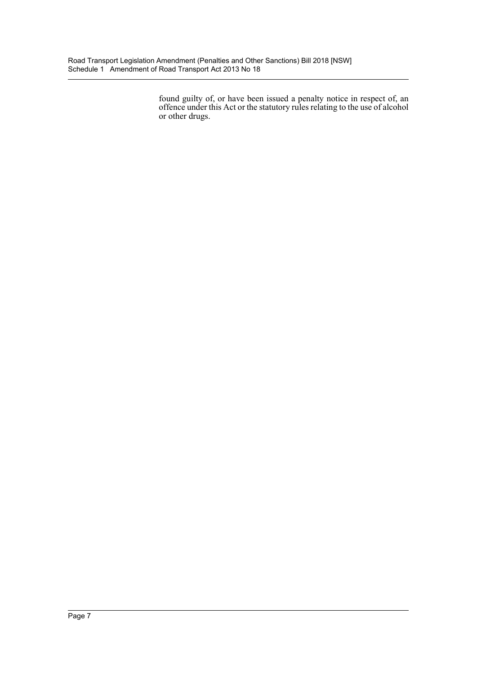found guilty of, or have been issued a penalty notice in respect of, an offence under this Act or the statutory rules relating to the use of alcohol or other drugs.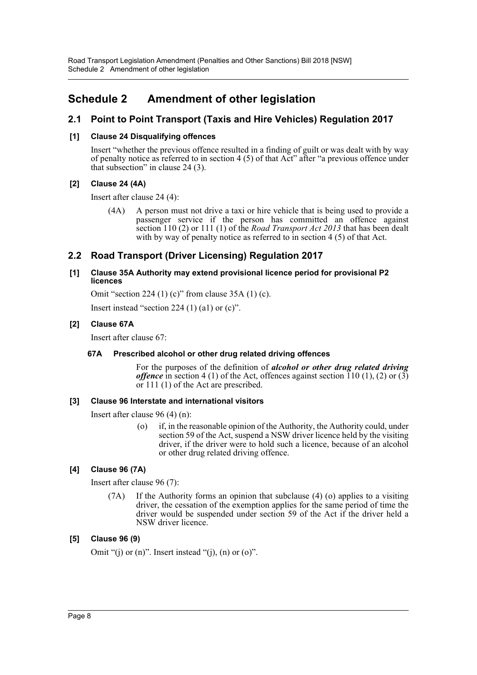Road Transport Legislation Amendment (Penalties and Other Sanctions) Bill 2018 [NSW] Schedule 2 Amendment of other legislation

# <span id="page-8-0"></span>**Schedule 2 Amendment of other legislation**

# **2.1 Point to Point Transport (Taxis and Hire Vehicles) Regulation 2017**

# **[1] Clause 24 Disqualifying offences**

Insert "whether the previous offence resulted in a finding of guilt or was dealt with by way of penalty notice as referred to in section 4 (5) of that Act" after "a previous offence under that subsection" in clause 24 (3).

# **[2] Clause 24 (4A)**

Insert after clause 24 (4):

(4A) A person must not drive a taxi or hire vehicle that is being used to provide a passenger service if the person has committed an offence against section 110 (2) or 111 (1) of the *Road Transport Act 2013* that has been dealt with by way of penalty notice as referred to in section 4 (5) of that Act.

# **2.2 Road Transport (Driver Licensing) Regulation 2017**

# **[1] Clause 35A Authority may extend provisional licence period for provisional P2 licences**

Omit "section 224 (1) (c)" from clause 35A (1) (c).

Insert instead "section 224  $(1)$   $(a1)$  or  $(c)$ ".

# **[2] Clause 67A**

Insert after clause 67:

### **67A Prescribed alcohol or other drug related driving offences**

For the purposes of the definition of *alcohol or other drug related driving offence* in section 4 (1) of the Act, offences against section  $\overline{110}$  (1), (2) or (3) or 111 (1) of the Act are prescribed.

### **[3] Clause 96 Interstate and international visitors**

Insert after clause 96 (4) (n):

(o) if, in the reasonable opinion of the Authority, the Authority could, under section 59 of the Act, suspend a NSW driver licence held by the visiting driver, if the driver were to hold such a licence, because of an alcohol or other drug related driving offence.

# **[4] Clause 96 (7A)**

Insert after clause 96 (7):

(7A) If the Authority forms an opinion that subclause (4) (o) applies to a visiting driver, the cessation of the exemption applies for the same period of time the driver would be suspended under section 59 of the Act if the driver held a NSW driver licence.

# **[5] Clause 96 (9)**

Omit "(j) or  $(n)$ ". Insert instead "(j),  $(n)$  or  $(o)$ ".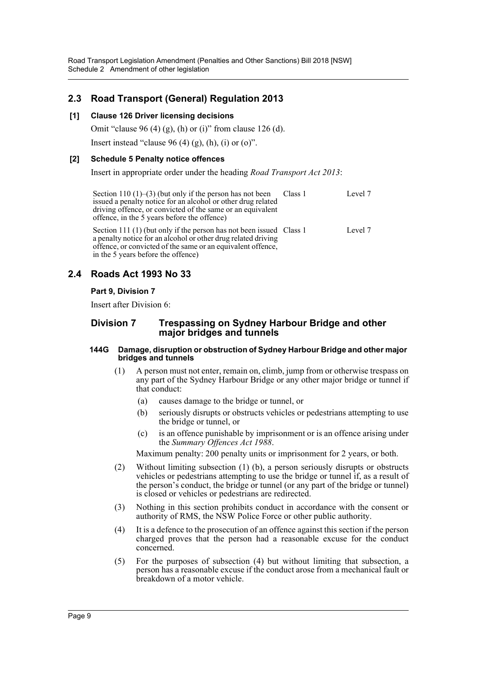Road Transport Legislation Amendment (Penalties and Other Sanctions) Bill 2018 [NSW] Schedule 2 Amendment of other legislation

# **2.3 Road Transport (General) Regulation 2013**

### **[1] Clause 126 Driver licensing decisions**

Omit "clause 96 (4) (g), (h) or (i)" from clause 126 (d).

Insert instead "clause  $96 (4) (g)$ , (h), (i) or (o)".

#### **[2] Schedule 5 Penalty notice offences**

Insert in appropriate order under the heading *Road Transport Act 2013*:

Section 110  $(1)$ – $(3)$  (but only if the person has not been issued a penalty notice for an alcohol or other drug related driving offence, or convicted of the same or an equivalent offence, in the 5 years before the offence) Class 1 Level 7

Section 111 (1) (but only if the person has not been issued Class 1 Level 7 a penalty notice for an alcohol or other drug related driving offence, or convicted of the same or an equivalent offence, in the 5 years before the offence)

# **2.4 Roads Act 1993 No 33**

### **Part 9, Division 7**

Insert after Division 6:

# **Division 7 Trespassing on Sydney Harbour Bridge and other major bridges and tunnels**

#### **144G Damage, disruption or obstruction of Sydney Harbour Bridge and other major bridges and tunnels**

- (1) A person must not enter, remain on, climb, jump from or otherwise trespass on any part of the Sydney Harbour Bridge or any other major bridge or tunnel if that conduct:
	- (a) causes damage to the bridge or tunnel, or
	- (b) seriously disrupts or obstructs vehicles or pedestrians attempting to use the bridge or tunnel, or
	- (c) is an offence punishable by imprisonment or is an offence arising under the *Summary Offences Act 1988*.

Maximum penalty: 200 penalty units or imprisonment for 2 years, or both.

- (2) Without limiting subsection (1) (b), a person seriously disrupts or obstructs vehicles or pedestrians attempting to use the bridge or tunnel if, as a result of the person's conduct, the bridge or tunnel (or any part of the bridge or tunnel) is closed or vehicles or pedestrians are redirected.
- (3) Nothing in this section prohibits conduct in accordance with the consent or authority of RMS, the NSW Police Force or other public authority.
- (4) It is a defence to the prosecution of an offence against this section if the person charged proves that the person had a reasonable excuse for the conduct concerned.
- (5) For the purposes of subsection (4) but without limiting that subsection, a person has a reasonable excuse if the conduct arose from a mechanical fault or breakdown of a motor vehicle.